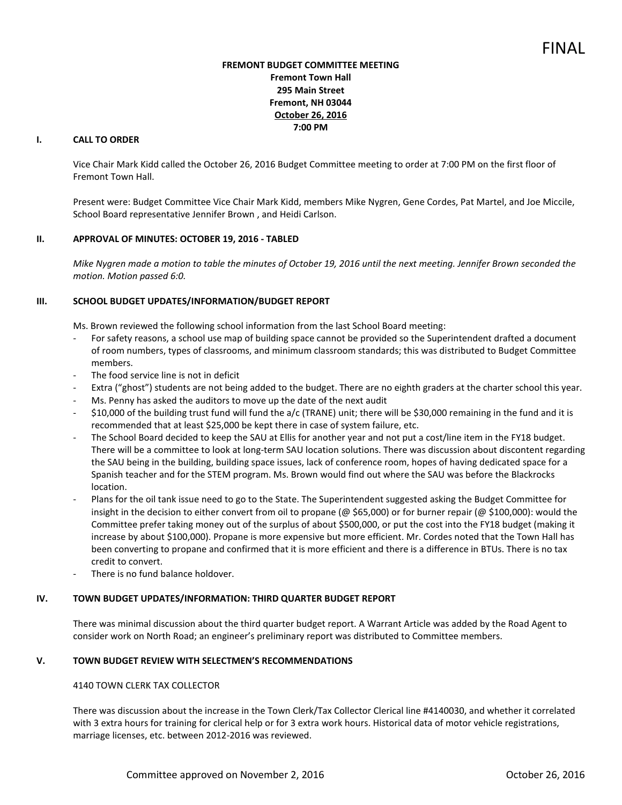# **FREMONT BUDGET COMMITTEE MEETING Fremont Town Hall 295 Main Street Fremont, NH 03044 October 26, 2016 7:00 PM**

# **I. CALL TO ORDER**

Vice Chair Mark Kidd called the October 26, 2016 Budget Committee meeting to order at 7:00 PM on the first floor of Fremont Town Hall.

Present were: Budget Committee Vice Chair Mark Kidd, members Mike Nygren, Gene Cordes, Pat Martel, and Joe Miccile, School Board representative Jennifer Brown , and Heidi Carlson.

#### **II. APPROVAL OF MINUTES: OCTOBER 19, 2016 - TABLED**

*Mike Nygren made a motion to table the minutes of October 19, 2016 until the next meeting. Jennifer Brown seconded the motion. Motion passed 6:0.* 

### **III. SCHOOL BUDGET UPDATES/INFORMATION/BUDGET REPORT**

Ms. Brown reviewed the following school information from the last School Board meeting:

- For safety reasons, a school use map of building space cannot be provided so the Superintendent drafted a document of room numbers, types of classrooms, and minimum classroom standards; this was distributed to Budget Committee members.
- The food service line is not in deficit
- Extra ("ghost") students are not being added to the budget. There are no eighth graders at the charter school this year.
- Ms. Penny has asked the auditors to move up the date of the next audit
- \$10,000 of the building trust fund will fund the a/c (TRANE) unit; there will be \$30,000 remaining in the fund and it is recommended that at least \$25,000 be kept there in case of system failure, etc.
- The School Board decided to keep the SAU at Ellis for another year and not put a cost/line item in the FY18 budget. There will be a committee to look at long-term SAU location solutions. There was discussion about discontent regarding the SAU being in the building, building space issues, lack of conference room, hopes of having dedicated space for a Spanish teacher and for the STEM program. Ms. Brown would find out where the SAU was before the Blackrocks location.
- Plans for the oil tank issue need to go to the State. The Superintendent suggested asking the Budget Committee for insight in the decision to either convert from oil to propane (@ \$65,000) or for burner repair (@ \$100,000): would the Committee prefer taking money out of the surplus of about \$500,000, or put the cost into the FY18 budget (making it increase by about \$100,000). Propane is more expensive but more efficient. Mr. Cordes noted that the Town Hall has been converting to propane and confirmed that it is more efficient and there is a difference in BTUs. There is no tax credit to convert.
- There is no fund balance holdover.

#### **IV. TOWN BUDGET UPDATES/INFORMATION: THIRD QUARTER BUDGET REPORT**

There was minimal discussion about the third quarter budget report. A Warrant Article was added by the Road Agent to consider work on North Road; an engineer's preliminary report was distributed to Committee members.

#### **V. TOWN BUDGET REVIEW WITH SELECTMEN'S RECOMMENDATIONS**

#### 4140 TOWN CLERK TAX COLLECTOR

There was discussion about the increase in the Town Clerk/Tax Collector Clerical line #4140030, and whether it correlated with 3 extra hours for training for clerical help or for 3 extra work hours. Historical data of motor vehicle registrations, marriage licenses, etc. between 2012-2016 was reviewed.